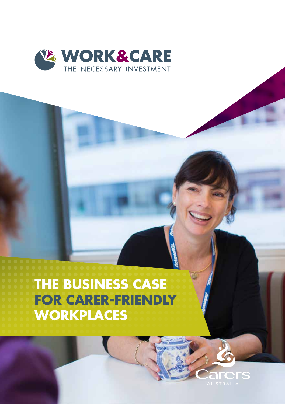

# **The business case for carer-friendly workplaces**

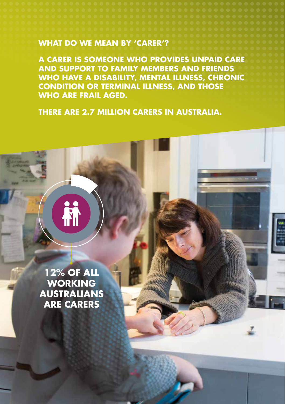#### **What do we mean by 'carer'?**

**A carer is someone who provides unpaid care and support to family members and friends who have a disability, mental illness, chronic condition or terminal illness, and those who are frail aged.** 

**There are 2.7 million carers in Australia.**

**12% of all working Australians are carers**

**An**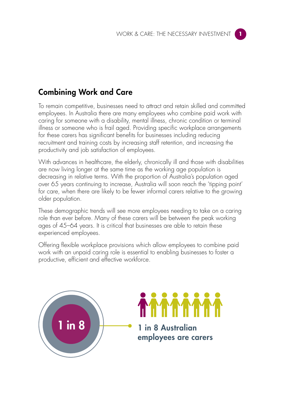

## Combining Work and Care

To remain competitive, businesses need to attract and retain skilled and committed employees. In Australia there are many employees who combine paid work with caring for someone with a disability, mental illness, chronic condition or terminal illness or someone who is frail aged. Providing specific workplace arrangements for these carers has significant benefits for businesses including reducing recruitment and training costs by increasing staff retention, and increasing the productivity and job satisfaction of employees.

With advances in healthcare, the elderly, chronically ill and those with disabilities are now living longer at the same time as the working age population is decreasing in relative terms. With the proportion of Australia's population aged over 65 years continuing to increase, Australia will soon reach the 'tipping point' for care, when there are likely to be fewer informal carers relative to the growing older population.

These demographic trends will see more employees needing to take on a caring role than ever before. Many of these carers will be between the peak working ages of 45–64 years. It is critical that businesses are able to retain these experienced employees.

Offering flexible workplace provisions which allow employees to combine paid work with an unpaid caring role is essential to enabling businesses to foster a productive, efficient and effective workforce.





1 in 8 Australian employees are carers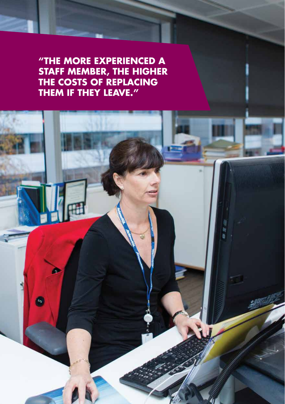**"The more experienced a staff member, the higher the costs of replacing them if they leave."**

**Cold** 

os.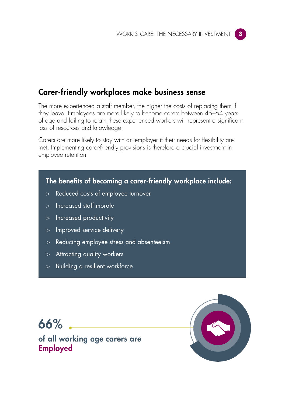## Carer-friendly workplaces make business sense

The more experienced a staff member, the higher the costs of replacing them if they leave. Employees are more likely to become carers between 45–64 years of age and failing to retain these experienced workers will represent a significant loss of resources and knowledge.

Carers are more likely to stay with an employer if their needs for flexibility are met. Implementing carer-friendly provisions is therefore a crucial investment in employee retention.

#### The benefits of becoming a carer-friendly workplace include:

- > Reduced costs of employee turnover
- > Increased staff morale
- > Increased productivity
- > Improved service delivery
- > Reducing employee stress and absenteeism
- > Attracting quality workers
- > Building a resilient workforce

## 66%

of all working age carers are Employed

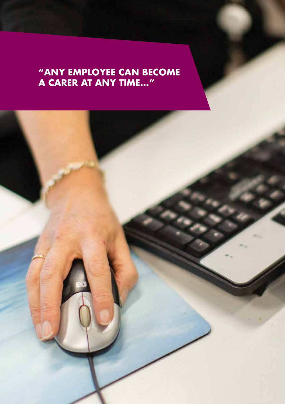## **"Any employee can become a carer at any time…"**

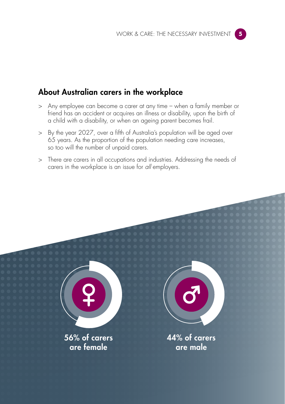## About Australian carers in the workplace

- > Any employee can become a carer at any time when a family member or friend has an accident or acquires an illness or disability, upon the birth of a child with a disability, or when an ageing parent becomes frail.
- > By the year 2027, over a fifth of Australia's population will be aged over 65 years. As the proportion of the population needing care increases, so too will the number of unpaid carers.
- > There are carers in all occupations and industries. Addressing the needs of carers in the workplace is an issue for all employers.

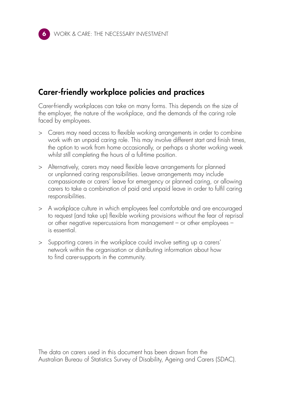## Carer-friendly workplace policies and practices

Carer-friendly workplaces can take on many forms. This depends on the size of the employer, the nature of the workplace, and the demands of the caring role faced by employees.

- > Carers may need access to flexible working arrangements in order to combine work with an unpaid caring role. This may involve different start and finish times, the option to work from home occasionally, or perhaps a shorter working week whilst still completing the hours of a full-time position.
- > Alternatively, carers may need flexible leave arrangements for planned or unplanned caring responsibilities. Leave arrangements may include compassionate or carers' leave for emergency or planned caring, or allowing carers to take a combination of paid and unpaid leave in order to fulfil caring responsibilities.
- > A workplace culture in which employees feel comfortable and are encouraged to request (and take up) flexible working provisions without the fear of reprisal or other negative repercussions from management – or other employees – is essential.
- > Supporting carers in the workplace could involve setting up a carers' network within the organisation or distributing information about how to find carer-supports in the community.

The data on carers used in this document has been drawn from the Australian Bureau of Statistics Survey of Disability, Ageing and Carers (SDAC).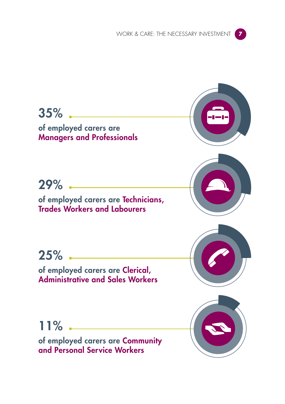Work & Care: The necessary investment **7**

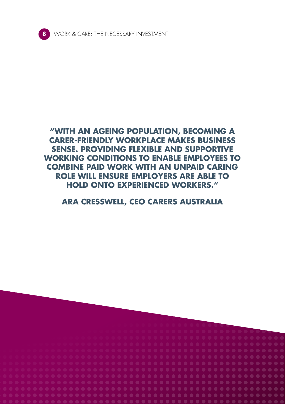**8** Work & Care: The necessary investment

#### **"With an ageing population, becoming a carer-friendly workplace makes business sense. Providing flexible and supportive working conditions to enable employees to combine paid work with an unpaid caring role will ensure employers are able to hold onto experienced workers."**

#### **Ara Cresswell, CEO Carers Australia**

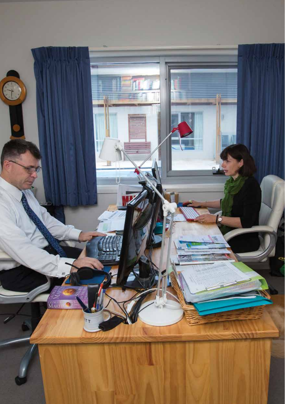